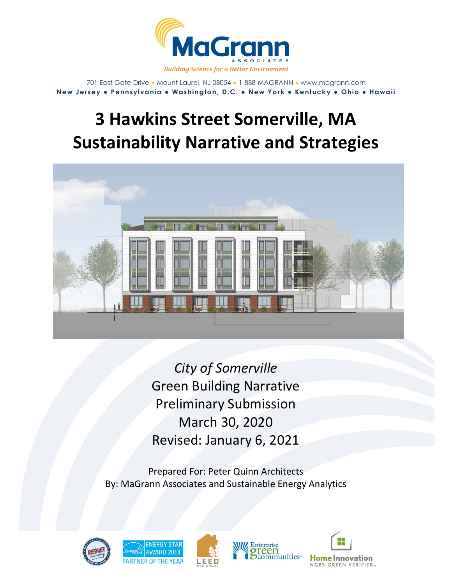

701 East Gate Drive ● Mount Laurel, NJ 08054 ● 1-888-MAGRANN ● www.magrann.com **New Jersey ● Pennsylvania ● Washington, D.C. ● New York ● Kentucky ● Ohio ● Hawaii**

# **3 Hawkins Street Somerville, MA Sustainability Narrative and Strategies**



*City of Somerville*  Green Building Narrative Preliminary Submission March 30, 2020 Revised: January 6, 2021

Prepared For: Peter Quinn Architects By: MaGrann Associates and Sustainable Energy Analytics









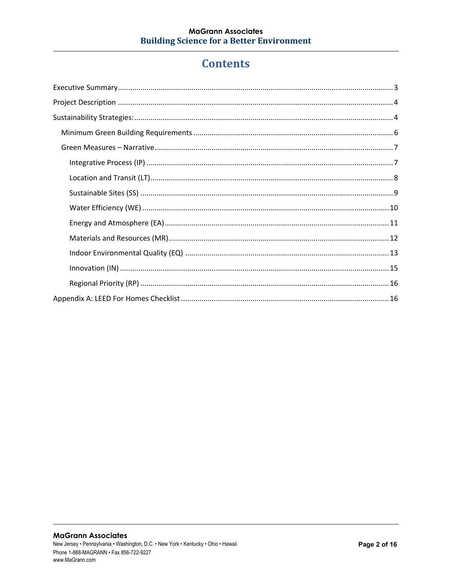## **Contents**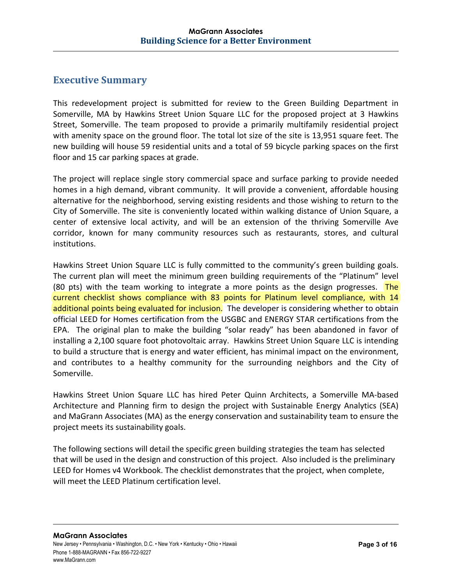## **Executive Summary**

This redevelopment project is submitted for review to the Green Building Department in Somerville, MA by Hawkins Street Union Square LLC for the proposed project at 3 Hawkins Street, Somerville. The team proposed to provide a primarily multifamily residential project with amenity space on the ground floor. The total lot size of the site is 13,951 square feet. The new building will house 59 residential units and a total of 59 bicycle parking spaces on the first floor and 15 car parking spaces at grade.

The project will replace single story commercial space and surface parking to provide needed homes in a high demand, vibrant community. It will provide a convenient, affordable housing alternative for the neighborhood, serving existing residents and those wishing to return to the City of Somerville. The site is conveniently located within walking distance of Union Square, a center of extensive local activity, and will be an extension of the thriving Somerville Ave corridor, known for many community resources such as restaurants, stores, and cultural institutions.

Hawkins Street Union Square LLC is fully committed to the community's green building goals. The current plan will meet the minimum green building requirements of the "Platinum" level (80 pts) with the team working to integrate a more points as the design progresses. The current checklist shows compliance with 83 points for Platinum level compliance, with 14 additional points being evaluated for inclusion. The developer is considering whether to obtain official LEED for Homes certification from the USGBC and ENERGY STAR certifications from the EPA. The original plan to make the building "solar ready" has been abandoned in favor of installing a 2,100 square foot photovoltaic array. Hawkins Street Union Square LLC is intending to build a structure that is energy and water efficient, has minimal impact on the environment, and contributes to a healthy community for the surrounding neighbors and the City of Somerville.

Hawkins Street Union Square LLC has hired Peter Quinn Architects, a Somerville MA‐based Architecture and Planning firm to design the project with Sustainable Energy Analytics (SEA) and MaGrann Associates (MA) as the energy conservation and sustainability team to ensure the project meets its sustainability goals.

The following sections will detail the specific green building strategies the team has selected that will be used in the design and construction of this project. Also included is the preliminary LEED for Homes v4 Workbook. The checklist demonstrates that the project, when complete, will meet the LEED Platinum certification level.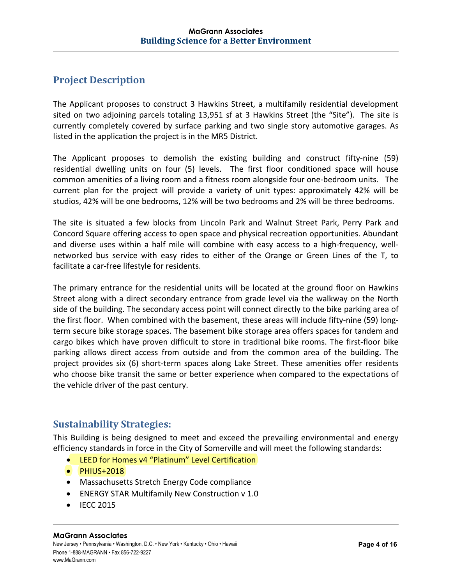## **Project Description**

The Applicant proposes to construct 3 Hawkins Street, a multifamily residential development sited on two adjoining parcels totaling 13,951 sf at 3 Hawkins Street (the "Site"). The site is currently completely covered by surface parking and two single story automotive garages. As listed in the application the project is in the MR5 District.

The Applicant proposes to demolish the existing building and construct fifty-nine (59) residential dwelling units on four (5) levels. The first floor conditioned space will house common amenities of a living room and a fitness room alongside four one‐bedroom units. The current plan for the project will provide a variety of unit types: approximately 42% will be studios, 42% will be one bedrooms, 12% will be two bedrooms and 2% will be three bedrooms.

The site is situated a few blocks from Lincoln Park and Walnut Street Park, Perry Park and Concord Square offering access to open space and physical recreation opportunities. Abundant and diverse uses within a half mile will combine with easy access to a high-frequency, wellnetworked bus service with easy rides to either of the Orange or Green Lines of the T, to facilitate a car‐free lifestyle for residents.

The primary entrance for the residential units will be located at the ground floor on Hawkins Street along with a direct secondary entrance from grade level via the walkway on the North side of the building. The secondary access point will connect directly to the bike parking area of the first floor. When combined with the basement, these areas will include fifty-nine (59) longterm secure bike storage spaces. The basement bike storage area offers spaces for tandem and cargo bikes which have proven difficult to store in traditional bike rooms. The first‐floor bike parking allows direct access from outside and from the common area of the building. The project provides six (6) short-term spaces along Lake Street. These amenities offer residents who choose bike transit the same or better experience when compared to the expectations of the vehicle driver of the past century.

## **Sustainability Strategies:**

This Building is being designed to meet and exceed the prevailing environmental and energy efficiency standards in force in the City of Somerville and will meet the following standards:

- LEED for Homes v4 "Platinum" Level Certification
- PHIUS+2018
- Massachusetts Stretch Energy Code compliance
- ENERGY STAR Multifamily New Construction v 1.0
- $\bullet$  IECC 2015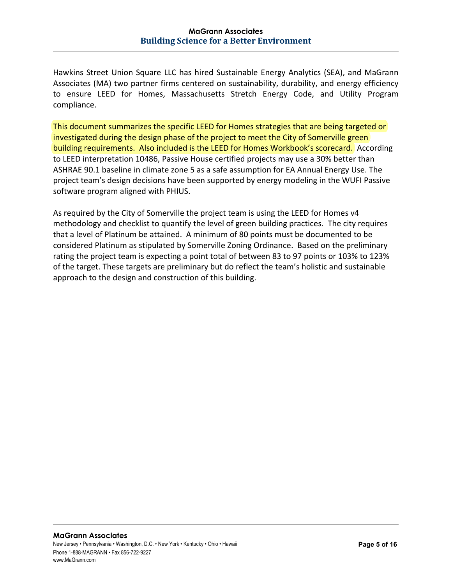Hawkins Street Union Square LLC has hired Sustainable Energy Analytics (SEA), and MaGrann Associates (MA) two partner firms centered on sustainability, durability, and energy efficiency to ensure LEED for Homes, Massachusetts Stretch Energy Code, and Utility Program compliance.

This document summarizes the specific LEED for Homes strategies that are being targeted or investigated during the design phase of the project to meet the City of Somerville green building requirements. Also included is the LEED for Homes Workbook's scorecard. According to LEED interpretation 10486, Passive House certified projects may use a 30% better than ASHRAE 90.1 baseline in climate zone 5 as a safe assumption for EA Annual Energy Use. The project team's design decisions have been supported by energy modeling in the WUFI Passive software program aligned with PHIUS.

As required by the City of Somerville the project team is using the LEED for Homes v4 methodology and checklist to quantify the level of green building practices. The city requires that a level of Platinum be attained. A minimum of 80 points must be documented to be considered Platinum as stipulated by Somerville Zoning Ordinance. Based on the preliminary rating the project team is expecting a point total of between 83 to 97 points or 103% to 123% of the target. These targets are preliminary but do reflect the team's holistic and sustainable approach to the design and construction of this building.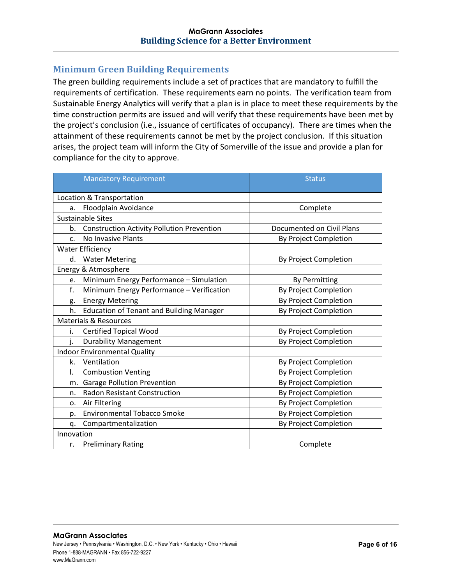#### **Minimum Green Building Requirements**

The green building requirements include a set of practices that are mandatory to fulfill the requirements of certification. These requirements earn no points. The verification team from Sustainable Energy Analytics will verify that a plan is in place to meet these requirements by the time construction permits are issued and will verify that these requirements have been met by the project's conclusion (i.e., issuance of certificates of occupancy). There are times when the attainment of these requirements cannot be met by the project conclusion. If this situation arises, the project team will inform the City of Somerville of the issue and provide a plan for compliance for the city to approve.

| <b>Mandatory Requirement</b>                            | <b>Status</b>                |  |  |  |  |  |
|---------------------------------------------------------|------------------------------|--|--|--|--|--|
|                                                         |                              |  |  |  |  |  |
| Location & Transportation                               |                              |  |  |  |  |  |
| Floodplain Avoidance<br>a.                              | Complete                     |  |  |  |  |  |
| <b>Sustainable Sites</b>                                |                              |  |  |  |  |  |
| <b>Construction Activity Pollution Prevention</b><br>b. | Documented on Civil Plans    |  |  |  |  |  |
| No Invasive Plants<br>$\mathsf{C}$ .                    | By Project Completion        |  |  |  |  |  |
| <b>Water Efficiency</b>                                 |                              |  |  |  |  |  |
| d. Water Metering                                       | By Project Completion        |  |  |  |  |  |
| Energy & Atmosphere                                     |                              |  |  |  |  |  |
| Minimum Energy Performance - Simulation<br>e.           | <b>By Permitting</b>         |  |  |  |  |  |
| Minimum Energy Performance - Verification<br>f.         | By Project Completion        |  |  |  |  |  |
| <b>Energy Metering</b><br>g.                            | By Project Completion        |  |  |  |  |  |
| h.<br><b>Education of Tenant and Building Manager</b>   | By Project Completion        |  |  |  |  |  |
| <b>Materials &amp; Resources</b>                        |                              |  |  |  |  |  |
| i.<br><b>Certified Topical Wood</b>                     | By Project Completion        |  |  |  |  |  |
| <b>Durability Management</b><br>i.                      | <b>By Project Completion</b> |  |  |  |  |  |
| <b>Indoor Environmental Quality</b>                     |                              |  |  |  |  |  |
| Ventilation<br>k.                                       | By Project Completion        |  |  |  |  |  |
| I.<br><b>Combustion Venting</b>                         | By Project Completion        |  |  |  |  |  |
| <b>Garage Pollution Prevention</b><br>m.                | <b>By Project Completion</b> |  |  |  |  |  |
| <b>Radon Resistant Construction</b><br>n.               | By Project Completion        |  |  |  |  |  |
| Air Filtering<br>o.                                     | By Project Completion        |  |  |  |  |  |
| <b>Environmental Tobacco Smoke</b><br>p.                | By Project Completion        |  |  |  |  |  |
| Compartmentalization<br>q.                              | By Project Completion        |  |  |  |  |  |
| Innovation                                              |                              |  |  |  |  |  |
| <b>Preliminary Rating</b><br>r.                         | Complete                     |  |  |  |  |  |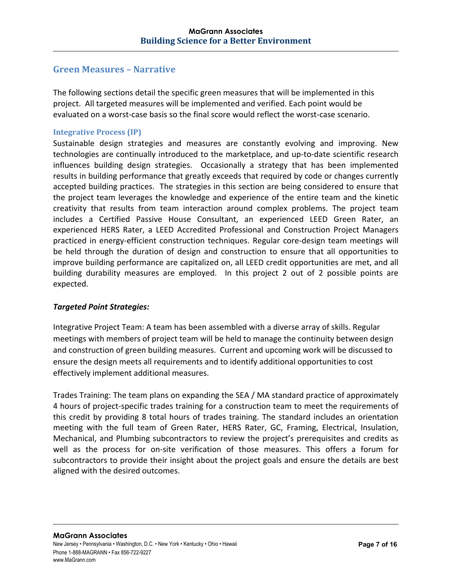#### **Green Measures – Narrative**

The following sections detail the specific green measures that will be implemented in this project. All targeted measures will be implemented and verified. Each point would be evaluated on a worst-case basis so the final score would reflect the worst-case scenario.

#### **Integrative Process (IP)**

Sustainable design strategies and measures are constantly evolving and improving. New technologies are continually introduced to the marketplace, and up-to-date scientific research influences building design strategies. Occasionally a strategy that has been implemented results in building performance that greatly exceeds that required by code or changes currently accepted building practices. The strategies in this section are being considered to ensure that the project team leverages the knowledge and experience of the entire team and the kinetic creativity that results from team interaction around complex problems. The project team includes a Certified Passive House Consultant, an experienced LEED Green Rater, an experienced HERS Rater, a LEED Accredited Professional and Construction Project Managers practiced in energy-efficient construction techniques. Regular core-design team meetings will be held through the duration of design and construction to ensure that all opportunities to improve building performance are capitalized on, all LEED credit opportunities are met, and all building durability measures are employed. In this project 2 out of 2 possible points are expected.

#### *Targeted Point Strategies:*

Integrative Project Team: A team has been assembled with a diverse array of skills. Regular meetings with members of project team will be held to manage the continuity between design and construction of green building measures. Current and upcoming work will be discussed to ensure the design meets all requirements and to identify additional opportunities to cost effectively implement additional measures.

Trades Training: The team plans on expanding the SEA / MA standard practice of approximately 4 hours of project‐specific trades training for a construction team to meet the requirements of this credit by providing 8 total hours of trades training. The standard includes an orientation meeting with the full team of Green Rater, HERS Rater, GC, Framing, Electrical, Insulation, Mechanical, and Plumbing subcontractors to review the project's prerequisites and credits as well as the process for on-site verification of those measures. This offers a forum for subcontractors to provide their insight about the project goals and ensure the details are best aligned with the desired outcomes.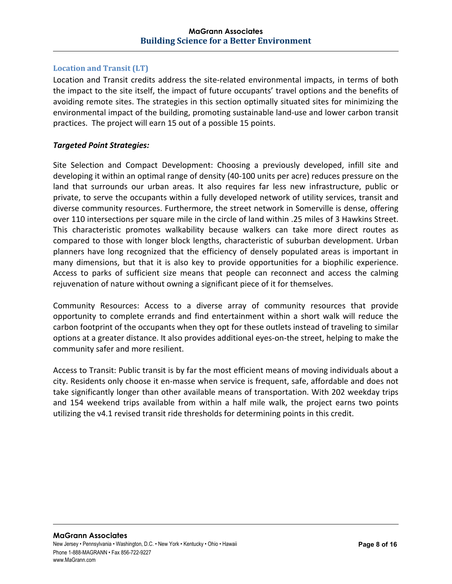#### **Location and Transit (LT)**

Location and Transit credits address the site-related environmental impacts, in terms of both the impact to the site itself, the impact of future occupants' travel options and the benefits of avoiding remote sites. The strategies in this section optimally situated sites for minimizing the environmental impact of the building, promoting sustainable land‐use and lower carbon transit practices. The project will earn 15 out of a possible 15 points.

#### *Targeted Point Strategies:*

Site Selection and Compact Development: Choosing a previously developed, infill site and developing it within an optimal range of density (40‐100 units per acre) reduces pressure on the land that surrounds our urban areas. It also requires far less new infrastructure, public or private, to serve the occupants within a fully developed network of utility services, transit and diverse community resources. Furthermore, the street network in Somerville is dense, offering over 110 intersections per square mile in the circle of land within .25 miles of 3 Hawkins Street. This characteristic promotes walkability because walkers can take more direct routes as compared to those with longer block lengths, characteristic of suburban development. Urban planners have long recognized that the efficiency of densely populated areas is important in many dimensions, but that it is also key to provide opportunities for a biophilic experience. Access to parks of sufficient size means that people can reconnect and access the calming rejuvenation of nature without owning a significant piece of it for themselves.

Community Resources: Access to a diverse array of community resources that provide opportunity to complete errands and find entertainment within a short walk will reduce the carbon footprint of the occupants when they opt for these outlets instead of traveling to similar options at a greater distance. It also provides additional eyes‐on‐the street, helping to make the community safer and more resilient.

Access to Transit: Public transit is by far the most efficient means of moving individuals about a city. Residents only choose it en-masse when service is frequent, safe, affordable and does not take significantly longer than other available means of transportation. With 202 weekday trips and 154 weekend trips available from within a half mile walk, the project earns two points utilizing the v4.1 revised transit ride thresholds for determining points in this credit.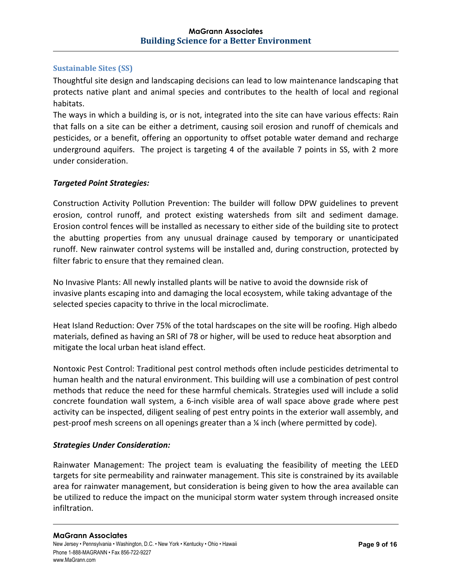#### **Sustainable Sites (SS)**

Thoughtful site design and landscaping decisions can lead to low maintenance landscaping that protects native plant and animal species and contributes to the health of local and regional habitats.

The ways in which a building is, or is not, integrated into the site can have various effects: Rain that falls on a site can be either a detriment, causing soil erosion and runoff of chemicals and pesticides, or a benefit, offering an opportunity to offset potable water demand and recharge underground aquifers. The project is targeting 4 of the available 7 points in SS, with 2 more under consideration.

#### *Targeted Point Strategies:*

Construction Activity Pollution Prevention: The builder will follow DPW guidelines to prevent erosion, control runoff, and protect existing watersheds from silt and sediment damage. Erosion control fences will be installed as necessary to either side of the building site to protect the abutting properties from any unusual drainage caused by temporary or unanticipated runoff. New rainwater control systems will be installed and, during construction, protected by filter fabric to ensure that they remained clean.

No Invasive Plants: All newly installed plants will be native to avoid the downside risk of invasive plants escaping into and damaging the local ecosystem, while taking advantage of the selected species capacity to thrive in the local microclimate.

Heat Island Reduction: Over 75% of the total hardscapes on the site will be roofing. High albedo materials, defined as having an SRI of 78 or higher, will be used to reduce heat absorption and mitigate the local urban heat island effect.

Nontoxic Pest Control: Traditional pest control methods often include pesticides detrimental to human health and the natural environment. This building will use a combination of pest control methods that reduce the need for these harmful chemicals. Strategies used will include a solid concrete foundation wall system, a 6‐inch visible area of wall space above grade where pest activity can be inspected, diligent sealing of pest entry points in the exterior wall assembly, and pest-proof mesh screens on all openings greater than a  $\chi$  inch (where permitted by code).

#### *Strategies Under Consideration:*

Rainwater Management: The project team is evaluating the feasibility of meeting the LEED targets for site permeability and rainwater management. This site is constrained by its available area for rainwater management, but consideration is being given to how the area available can be utilized to reduce the impact on the municipal storm water system through increased onsite infiltration.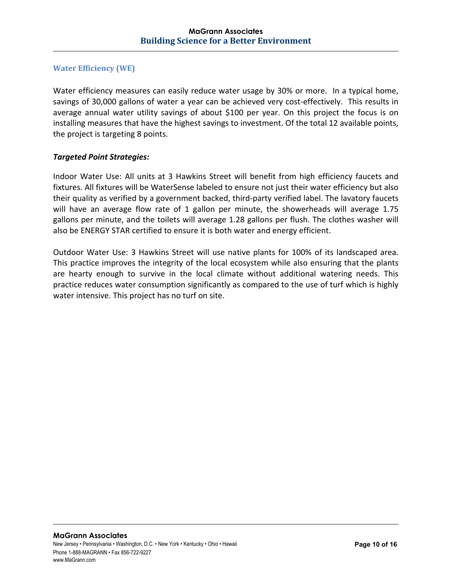#### **Water Efficiency (WE)**

Water efficiency measures can easily reduce water usage by 30% or more. In a typical home, savings of 30,000 gallons of water a year can be achieved very cost-effectively. This results in average annual water utility savings of about \$100 per year. On this project the focus is on installing measures that have the highest savings to investment. Of the total 12 available points, the project is targeting 8 points.

#### *Targeted Point Strategies:*

Indoor Water Use: All units at 3 Hawkins Street will benefit from high efficiency faucets and fixtures. All fixtures will be WaterSense labeled to ensure not just their water efficiency but also their quality as verified by a government backed, third‐party verified label. The lavatory faucets will have an average flow rate of 1 gallon per minute, the showerheads will average 1.75 gallons per minute, and the toilets will average 1.28 gallons per flush. The clothes washer will also be ENERGY STAR certified to ensure it is both water and energy efficient.

Outdoor Water Use: 3 Hawkins Street will use native plants for 100% of its landscaped area. This practice improves the integrity of the local ecosystem while also ensuring that the plants are hearty enough to survive in the local climate without additional watering needs. This practice reduces water consumption significantly as compared to the use of turf which is highly water intensive. This project has no turf on site.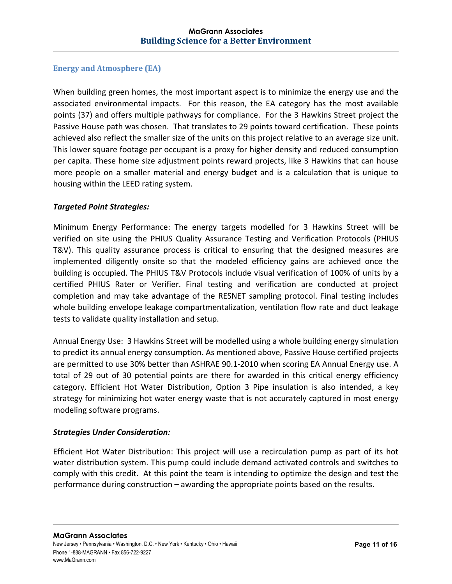#### **Energy and Atmosphere (EA)**

When building green homes, the most important aspect is to minimize the energy use and the associated environmental impacts. For this reason, the EA category has the most available points (37) and offers multiple pathways for compliance. For the 3 Hawkins Street project the Passive House path was chosen. That translates to 29 points toward certification. These points achieved also reflect the smaller size of the units on this project relative to an average size unit. This lower square footage per occupant is a proxy for higher density and reduced consumption per capita. These home size adjustment points reward projects, like 3 Hawkins that can house more people on a smaller material and energy budget and is a calculation that is unique to housing within the LEED rating system.

#### *Targeted Point Strategies:*

Minimum Energy Performance: The energy targets modelled for 3 Hawkins Street will be verified on site using the PHIUS Quality Assurance Testing and Verification Protocols (PHIUS T&V). This quality assurance process is critical to ensuring that the designed measures are implemented diligently onsite so that the modeled efficiency gains are achieved once the building is occupied. The PHIUS T&V Protocols include visual verification of 100% of units by a certified PHIUS Rater or Verifier. Final testing and verification are conducted at project completion and may take advantage of the RESNET sampling protocol. Final testing includes whole building envelope leakage compartmentalization, ventilation flow rate and duct leakage tests to validate quality installation and setup.

Annual Energy Use: 3 Hawkins Street will be modelled using a whole building energy simulation to predict its annual energy consumption. As mentioned above, Passive House certified projects are permitted to use 30% better than ASHRAE 90.1‐2010 when scoring EA Annual Energy use. A total of 29 out of 30 potential points are there for awarded in this critical energy efficiency category. Efficient Hot Water Distribution, Option 3 Pipe insulation is also intended, a key strategy for minimizing hot water energy waste that is not accurately captured in most energy modeling software programs.

#### *Strategies Under Consideration:*

Efficient Hot Water Distribution: This project will use a recirculation pump as part of its hot water distribution system. This pump could include demand activated controls and switches to comply with this credit. At this point the team is intending to optimize the design and test the performance during construction – awarding the appropriate points based on the results.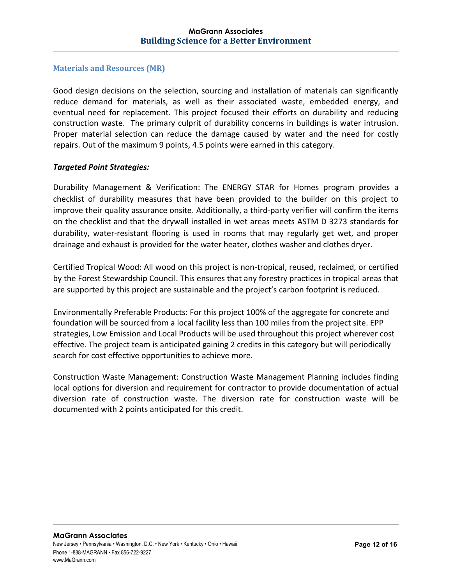#### **Materials and Resources (MR)**

Good design decisions on the selection, sourcing and installation of materials can significantly reduce demand for materials, as well as their associated waste, embedded energy, and eventual need for replacement. This project focused their efforts on durability and reducing construction waste. The primary culprit of durability concerns in buildings is water intrusion. Proper material selection can reduce the damage caused by water and the need for costly repairs. Out of the maximum 9 points, 4.5 points were earned in this category.

#### *Targeted Point Strategies:*

Durability Management & Verification: The ENERGY STAR for Homes program provides a checklist of durability measures that have been provided to the builder on this project to improve their quality assurance onsite. Additionally, a third-party verifier will confirm the items on the checklist and that the drywall installed in wet areas meets ASTM D 3273 standards for durability, water‐resistant flooring is used in rooms that may regularly get wet, and proper drainage and exhaust is provided for the water heater, clothes washer and clothes dryer.

Certified Tropical Wood: All wood on this project is non‐tropical, reused, reclaimed, or certified by the Forest Stewardship Council. This ensures that any forestry practices in tropical areas that are supported by this project are sustainable and the project's carbon footprint is reduced.

Environmentally Preferable Products: For this project 100% of the aggregate for concrete and foundation will be sourced from a local facility less than 100 miles from the project site. EPP strategies, Low Emission and Local Products will be used throughout this project wherever cost effective. The project team is anticipated gaining 2 credits in this category but will periodically search for cost effective opportunities to achieve more.

Construction Waste Management: Construction Waste Management Planning includes finding local options for diversion and requirement for contractor to provide documentation of actual diversion rate of construction waste. The diversion rate for construction waste will be documented with 2 points anticipated for this credit.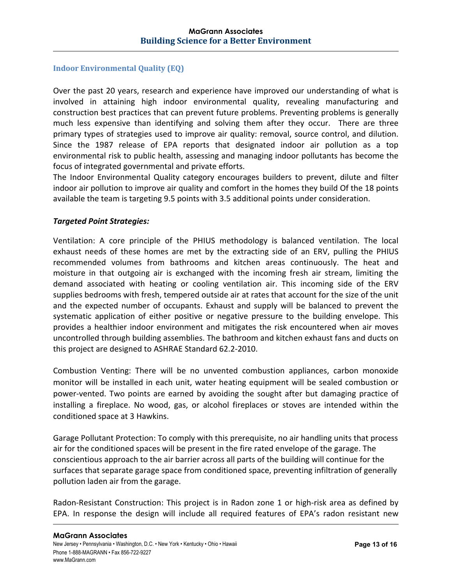#### **Indoor Environmental Quality (EQ)**

Over the past 20 years, research and experience have improved our understanding of what is involved in attaining high indoor environmental quality, revealing manufacturing and construction best practices that can prevent future problems. Preventing problems is generally much less expensive than identifying and solving them after they occur. There are three primary types of strategies used to improve air quality: removal, source control, and dilution. Since the 1987 release of EPA reports that designated indoor air pollution as a top environmental risk to public health, assessing and managing indoor pollutants has become the focus of integrated governmental and private efforts.

The Indoor Environmental Quality category encourages builders to prevent, dilute and filter indoor air pollution to improve air quality and comfort in the homes they build Of the 18 points available the team is targeting 9.5 points with 3.5 additional points under consideration.

#### *Targeted Point Strategies:*

Ventilation: A core principle of the PHIUS methodology is balanced ventilation. The local exhaust needs of these homes are met by the extracting side of an ERV, pulling the PHIUS recommended volumes from bathrooms and kitchen areas continuously. The heat and moisture in that outgoing air is exchanged with the incoming fresh air stream, limiting the demand associated with heating or cooling ventilation air. This incoming side of the ERV supplies bedrooms with fresh, tempered outside air at rates that account for the size of the unit and the expected number of occupants. Exhaust and supply will be balanced to prevent the systematic application of either positive or negative pressure to the building envelope. This provides a healthier indoor environment and mitigates the risk encountered when air moves uncontrolled through building assemblies. The bathroom and kitchen exhaust fans and ducts on this project are designed to ASHRAE Standard 62.2‐2010.

Combustion Venting: There will be no unvented combustion appliances, carbon monoxide monitor will be installed in each unit, water heating equipment will be sealed combustion or power-vented. Two points are earned by avoiding the sought after but damaging practice of installing a fireplace. No wood, gas, or alcohol fireplaces or stoves are intended within the conditioned space at 3 Hawkins.

Garage Pollutant Protection: To comply with this prerequisite, no air handling units that process air for the conditioned spaces will be present in the fire rated envelope of the garage. The conscientious approach to the air barrier across all parts of the building will continue for the surfaces that separate garage space from conditioned space, preventing infiltration of generally pollution laden air from the garage.

Radon-Resistant Construction: This project is in Radon zone 1 or high-risk area as defined by EPA. In response the design will include all required features of EPA's radon resistant new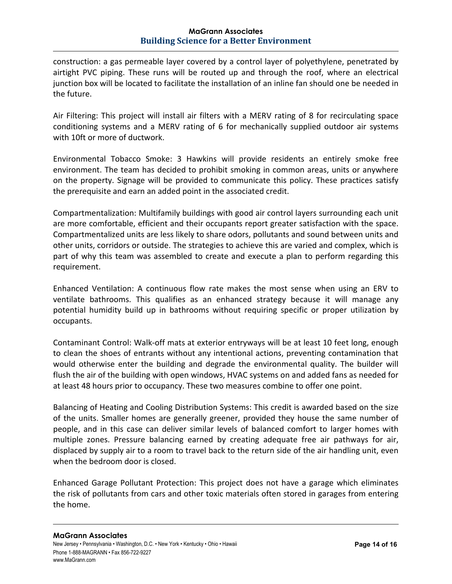#### **MaGrann Associates Building Science for a Better Environment**

construction: a gas permeable layer covered by a control layer of polyethylene, penetrated by airtight PVC piping. These runs will be routed up and through the roof, where an electrical junction box will be located to facilitate the installation of an inline fan should one be needed in the future.

Air Filtering: This project will install air filters with a MERV rating of 8 for recirculating space conditioning systems and a MERV rating of 6 for mechanically supplied outdoor air systems with 10ft or more of ductwork.

Environmental Tobacco Smoke: 3 Hawkins will provide residents an entirely smoke free environment. The team has decided to prohibit smoking in common areas, units or anywhere on the property. Signage will be provided to communicate this policy. These practices satisfy the prerequisite and earn an added point in the associated credit.

Compartmentalization: Multifamily buildings with good air control layers surrounding each unit are more comfortable, efficient and their occupants report greater satisfaction with the space. Compartmentalized units are less likely to share odors, pollutants and sound between units and other units, corridors or outside. The strategies to achieve this are varied and complex, which is part of why this team was assembled to create and execute a plan to perform regarding this requirement.

Enhanced Ventilation: A continuous flow rate makes the most sense when using an ERV to ventilate bathrooms. This qualifies as an enhanced strategy because it will manage any potential humidity build up in bathrooms without requiring specific or proper utilization by occupants.

Contaminant Control: Walk‐off mats at exterior entryways will be at least 10 feet long, enough to clean the shoes of entrants without any intentional actions, preventing contamination that would otherwise enter the building and degrade the environmental quality. The builder will flush the air of the building with open windows, HVAC systems on and added fans as needed for at least 48 hours prior to occupancy. These two measures combine to offer one point.

Balancing of Heating and Cooling Distribution Systems: This credit is awarded based on the size of the units. Smaller homes are generally greener, provided they house the same number of people, and in this case can deliver similar levels of balanced comfort to larger homes with multiple zones. Pressure balancing earned by creating adequate free air pathways for air, displaced by supply air to a room to travel back to the return side of the air handling unit, even when the bedroom door is closed.

Enhanced Garage Pollutant Protection: This project does not have a garage which eliminates the risk of pollutants from cars and other toxic materials often stored in garages from entering the home.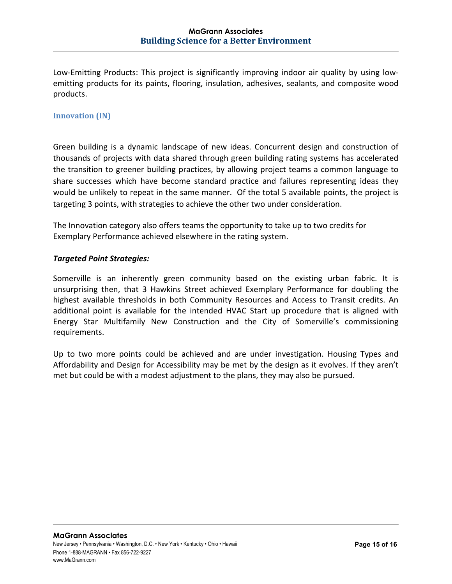Low-Emitting Products: This project is significantly improving indoor air quality by using lowemitting products for its paints, flooring, insulation, adhesives, sealants, and composite wood products.

#### **Innovation** *(IN)*

Green building is a dynamic landscape of new ideas. Concurrent design and construction of thousands of projects with data shared through green building rating systems has accelerated the transition to greener building practices, by allowing project teams a common language to share successes which have become standard practice and failures representing ideas they would be unlikely to repeat in the same manner. Of the total 5 available points, the project is targeting 3 points, with strategies to achieve the other two under consideration.

The Innovation category also offers teams the opportunity to take up to two credits for Exemplary Performance achieved elsewhere in the rating system.

#### *Targeted Point Strategies:*

Somerville is an inherently green community based on the existing urban fabric. It is unsurprising then, that 3 Hawkins Street achieved Exemplary Performance for doubling the highest available thresholds in both Community Resources and Access to Transit credits. An additional point is available for the intended HVAC Start up procedure that is aligned with Energy Star Multifamily New Construction and the City of Somerville's commissioning requirements.

Up to two more points could be achieved and are under investigation. Housing Types and Affordability and Design for Accessibility may be met by the design as it evolves. If they aren't met but could be with a modest adjustment to the plans, they may also be pursued.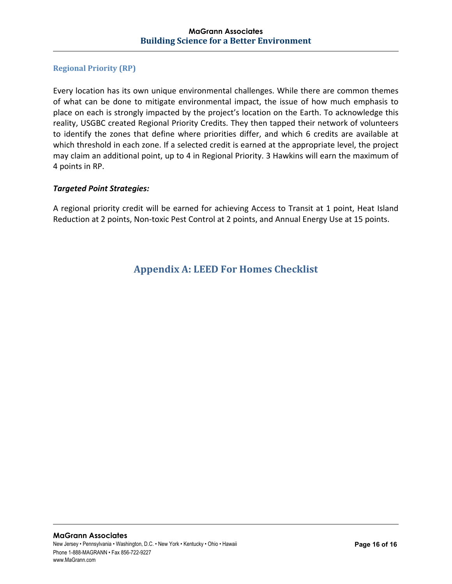#### **Regional Priority (RP)**

Every location has its own unique environmental challenges. While there are common themes of what can be done to mitigate environmental impact, the issue of how much emphasis to place on each is strongly impacted by the project's location on the Earth. To acknowledge this reality, USGBC created Regional Priority Credits. They then tapped their network of volunteers to identify the zones that define where priorities differ, and which 6 credits are available at which threshold in each zone. If a selected credit is earned at the appropriate level, the project may claim an additional point, up to 4 in Regional Priority. 3 Hawkins will earn the maximum of 4 points in RP.

#### *Targeted Point Strategies:*

A regional priority credit will be earned for achieving Access to Transit at 1 point, Heat Island Reduction at 2 points, Non-toxic Pest Control at 2 points, and Annual Energy Use at 15 points.

## **Appendix A: LEED For Homes Checklist**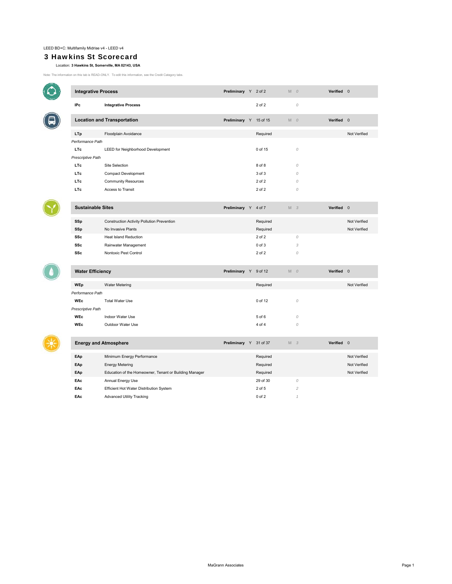$\bullet$ 

 $\bigcirc$ 

 $\bullet$ 

#### 3 Hawkins St Scorecard

#### Location: **3 Hawkins St, Somerville, MA 02143, USA**

Note: The information on this tab is READ-ONLY. To edit this information, see the Credit Category tabs.

|                         | <b>Integrative Process</b>                             |                        |  | Preliminary Y 2 of 2   | $M$ 0          | Verified 0 |              |
|-------------------------|--------------------------------------------------------|------------------------|--|------------------------|----------------|------------|--------------|
| IPc                     | <b>Integrative Process</b>                             |                        |  | 2 of 2                 | 0              |            |              |
|                         | <b>Location and Transportation</b>                     |                        |  | Preliminary Y 15 of 15 | $M$ 0          | Verified 0 |              |
| <b>LTp</b>              | Floodplain Avoidance                                   |                        |  | Required               |                |            | Not Verified |
| Performance Path        |                                                        |                        |  |                        |                |            |              |
| <b>LTc</b>              | LEED for Neighborhood Development                      |                        |  | 0 of 15                | $\mathcal{O}$  |            |              |
| Prescriptive Path       |                                                        |                        |  |                        |                |            |              |
| <b>LTc</b>              | <b>Site Selection</b>                                  |                        |  | 8 of 8                 | $\mathcal{O}$  |            |              |
| <b>LTc</b>              | Compact Development                                    |                        |  | 3 of 3                 | $\mathcal{O}$  |            |              |
| <b>LTc</b>              | <b>Community Resources</b>                             |                        |  | 2 of 2                 | 0              |            |              |
| <b>LTc</b>              | Access to Transit                                      |                        |  | 2 of 2                 | $\mathcal{O}$  |            |              |
|                         |                                                        |                        |  |                        |                |            |              |
|                         | <b>Sustainable Sites</b>                               | Preliminary Y          |  | 4 of 7                 | M <sub>3</sub> | Verified 0 |              |
| SSp                     | Construction Activity Pollution Prevention             |                        |  | Required               |                |            | Not Verified |
| SSp                     | No Invasive Plants                                     |                        |  | Required               |                |            | Not Verified |
| <b>SSc</b>              | <b>Heat Island Reduction</b>                           |                        |  | $2$ of $2$             | ${\cal O}$     |            |              |
| <b>SSc</b>              | Rainwater Management                                   |                        |  | $0$ of $3$             | 3              |            |              |
| SSc                     | Nontoxic Pest Control                                  |                        |  | 2 of 2                 | $\mathcal{O}$  |            |              |
|                         |                                                        |                        |  |                        |                |            |              |
| <b>Water Efficiency</b> |                                                        | Preliminary Y 9 of 12  |  |                        | $M$ 0          | Verified 0 |              |
| <b>WEp</b>              | <b>Water Metering</b>                                  |                        |  | Required               |                |            | Not Verified |
| Performance Path        |                                                        |                        |  |                        |                |            |              |
| <b>WEc</b>              | <b>Total Water Use</b>                                 |                        |  | 0 of 12                | ${\cal O}$     |            |              |
| Prescriptive Path       |                                                        |                        |  |                        |                |            |              |
| <b>WEc</b>              | Indoor Water Use                                       |                        |  | 5 of 6                 | $\mathcal{O}$  |            |              |
| <b>WEC</b>              | Outdoor Water Use                                      |                        |  | 4 of 4                 | $\mathcal{O}$  |            |              |
|                         |                                                        |                        |  |                        |                |            |              |
|                         | <b>Energy and Atmosphere</b>                           | Preliminary Y 31 of 37 |  |                        | M <sub>3</sub> | Verified 0 |              |
| EAp                     | Minimum Energy Performance                             |                        |  | Required               |                |            | Not Verified |
| EAp                     | <b>Energy Metering</b>                                 |                        |  | Required               |                |            | Not Verified |
| EAp                     | Education of the Homeowner, Tenant or Building Manager |                        |  | Required               |                |            | Not Verified |
| EAc                     | Annual Energy Use                                      |                        |  | 29 of 30               | $\mathcal{O}$  |            |              |
| EAc                     | Efficient Hot Water Distribution System                |                        |  | 2 of 5                 | $\overline{c}$ |            |              |

**EAc** Advanced Utility Tracking 0 of 2 *1*